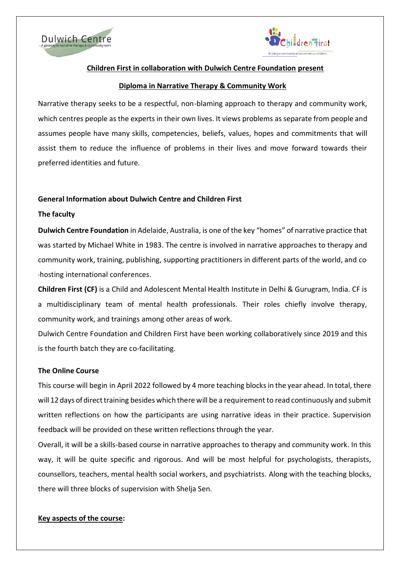



## **Children First in collaboration with Dulwich Centre Foundation present**

### **Diploma in Narrative Therapy & Community Work**

Narrative therapy seeks to be a respectful, non-blaming approach to therapy and community work, which centres people as the experts in their own lives. It views problems asseparate from people and assumes people have many skills, competencies, beliefs, values, hopes and commitments that will assist them to reduce the influence of problems in their lives and move forward towards their preferred identities and future.

### **General Information about Dulwich Centre and Children First**

### **The faculty**

**Dulwich Centre Foundation** in Adelaide, Australia, is one of the key "homes" of narrative practice that was started by Michael White in 1983. The centre is involved in narrative approaches to therapy and community work, training, publishing, supporting practitioners in different parts of the world, and co hosting international conferences.

**Children First (CF)** is a Child and Adolescent Mental Health Institute in Delhi & Gurugram, India. CF is a multidisciplinary team of mental health professionals. Their roles chiefly involve therapy, community work, and trainings among other areas of work.

Dulwich Centre Foundation and Children First have been working collaboratively since 2019 and this is the fourth batch they are co-facilitating.

#### **The Online Course**

This course will begin in April 2022 followed by 4 more teaching blocksin the year ahead. In total, there will 12 days of direct training besides which there will be a requirement to read continuously and submit written reflections on how the participants are using narrative ideas in their practice. Supervision feedback will be provided on these written reflections through the year.

Overall, it will be a skills-based course in narrative approaches to therapy and community work. In this way, it will be quite specific and rigorous. And will be most helpful for psychologists, therapists, counsellors, teachers, mental health social workers, and psychiatrists. Along with the teaching blocks, there will three blocks of supervision with Shelja Sen.

### **Key aspects of the course:**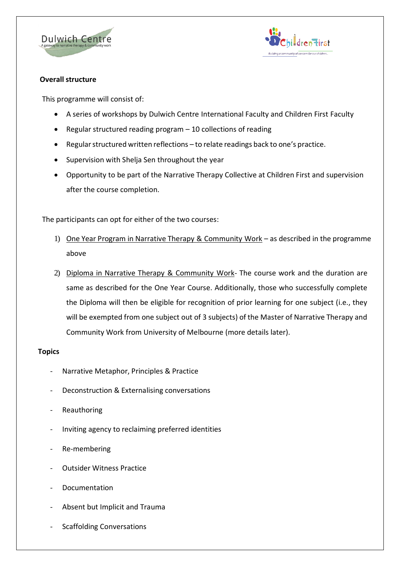



## **Overall structure**

This programme will consist of:

- A series of workshops by Dulwich Centre International Faculty and Children First Faculty
- Regular structured reading program 10 collections of reading
- Regular structured written reflections to relate readings back to one's practice.
- Supervision with Shelja Sen throughout the year
- Opportunity to be part of the Narrative Therapy Collective at Children First and supervision after the course completion.

The participants can opt for either of the two courses:

- 1) One Year Program in Narrative Therapy & Community Work as described in the programme above
- 2) Diploma in Narrative Therapy & Community Work- The course work and the duration are same as described for the One Year Course. Additionally, those who successfully complete the Diploma will then be eligible for recognition of prior learning for one subject (i.e., they will be exempted from one subject out of 3 subjects) of the Master of Narrative Therapy and Community Work from University of Melbourne (more details later).

# **Topics**

- Narrative Metaphor, Principles & Practice
- Deconstruction & Externalising conversations
- Reauthoring
- Inviting agency to reclaiming preferred identities
- Re-membering
- Outsider Witness Practice
- Documentation
- Absent but Implicit and Trauma
- Scaffolding Conversations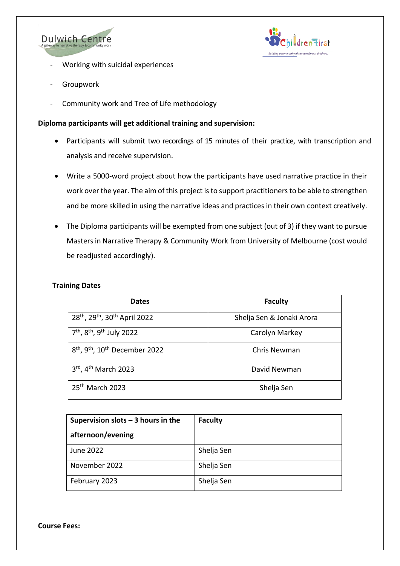



- Working with suicidal experiences
- **Groupwork**
- Community work and Tree of Life methodology

# **Diploma participants will get additional training and supervision:**

- Participants will submit two recordings of 15 minutes of their practice, with transcription and analysis and receive supervision.
- Write a 5000-word project about how the participants have used narrative practice in their work over the year. The aim of this project is to support practitioners to be able to strengthen and be more skilled in using the narrative ideas and practices in their own context creatively.
- The Diploma participants will be exempted from one subject (out of 3) if they want to pursue Masters in Narrative Therapy & Community Work from University of Melbourne (cost would be readjusted accordingly).

### **Training Dates**

| <b>Dates</b>                                                       | <b>Faculty</b>            |
|--------------------------------------------------------------------|---------------------------|
| 28 <sup>th</sup> , 29 <sup>th</sup> , 30 <sup>th</sup> April 2022  | Shelja Sen & Jonaki Arora |
| 7 <sup>th</sup> , 8 <sup>th</sup> , 9 <sup>th</sup> July 2022      | Carolyn Markey            |
| 8 <sup>th</sup> , 9 <sup>th</sup> , 10 <sup>th</sup> December 2022 | Chris Newman              |
| 3rd, 4 <sup>th</sup> March 2023                                    | David Newman              |
| 25 <sup>th</sup> March 2023                                        | Shelja Sen                |

| Supervision slots $-$ 3 hours in the | <b>Faculty</b> |
|--------------------------------------|----------------|
| afternoon/evening                    |                |
| June 2022                            | Shelja Sen     |
| November 2022                        | Shelja Sen     |
| February 2023                        | Shelja Sen     |

**Course Fees:**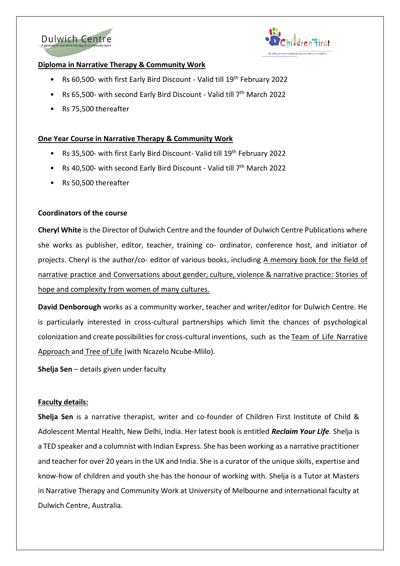



## **Diploma in Narrative Therapy & Community Work**

- Rs 60,500- with first Early Bird Discount Valid till 19<sup>th</sup> February 2022
- Rs 65,500- with second Early Bird Discount Valid till 7<sup>th</sup> March 2022
- Rs 75,500 thereafter

### **One Year Course in Narrative Therapy & Community Work**

- Rs 35,500- with first Early Bird Discount- Valid till 19<sup>th</sup> February 2022
- Rs 40,500- with second Early Bird Discount Valid till 7<sup>th</sup> March 2022
- Rs 50,500 thereafter

### **Coordinators of the course**

**Cheryl White** is the Director of Dulwich Centre and the founder of Dulwich Centre Publications where she works as publisher, editor, teacher, training co- ordinator, conference host, and initiator of projects. Cheryl is the author/co- editor of various books, including [A memory book for the field of](http://www.narrativetherapylibrary.com/a-memory-book-for-the-field-of-narrative-practice.html)  [narrative](http://www.narrativetherapylibrary.com/a-memory-book-for-the-field-of-narrative-practice.html) [practice](http://www.narrativetherapylibrary.com/a-memory-book-for-the-field-of-narrative-practice.html) and [Conversations](http://www.narrativetherapylibrary.com/conversations-about-gender-culture-violence-narrative-practice-stories-of-hope-and-complexity-from-women-of-many-cultures-1.html) about gender, culture, violence & narrative practice: [Stories of](http://www.narrativetherapylibrary.com/conversations-about-gender-culture-violence-narrative-practice-stories-of-hope-and-complexity-from-women-of-many-cultures-1.html)  [hope and complexity from women of many](http://www.narrativetherapylibrary.com/conversations-about-gender-culture-violence-narrative-practice-stories-of-hope-and-complexity-from-women-of-many-cultures-1.html) cultures.

**David Denborough** works as a community worker, teacher and writer/editor for Dulwich Centre. He is particularly interested in cross-cultural partnerships which limit the chances of psychological colonization and create possibilities for cross-cultural inventions, such as th[e Team of Life Narrative](https://dulwichcentre.com.au/team-of-life/) [Approach a](https://dulwichcentre.com.au/team-of-life/)nd [Tree of Life \(](https://dulwichcentre.com.au/the-tree-of-life/)with Ncazelo Ncube-Mlilo).

**Shelja Sen** – details given under faculty

### **Faculty details:**

**Shelja Sen** is a narrative therapist, writer and co- founder of Children First Institute of Child & Adolescent Mental Health, New Delhi, India. Her latest book is entitled *Reclaim Your Life.* Shelja is a TED speaker and a columnist with Indian Express. She has been working as a narrative practitioner and teacher for over 20 years in the UK and India. She is a curator of the unique skills, expertise and know- how of children and youth she has the honour of working with. Shelja is a Tutor at Masters in Narrative Therapy and Community Work at University of Melbourne and international faculty at Dulwich Centre, Australia.